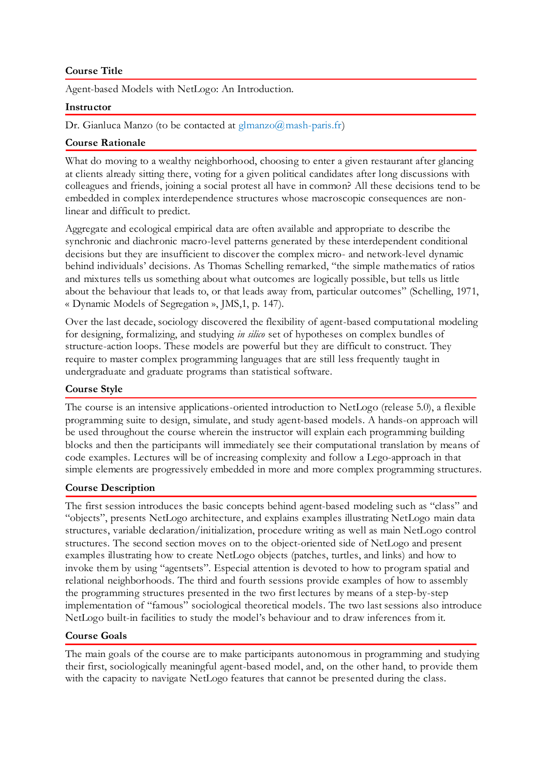## **Course Title**

Agent-based Models with NetLogo: An Introduction.

#### **Instructor**

Dr. Gianluca Manzo (to be contacted at glmanzo $\omega$ mash-paris.fr)

### **Course Rationale**

What do moving to a wealthy neighborhood, choosing to enter a given restaurant after glancing at clients already sitting there, voting for a given political candidates after long discussions with colleagues and friends, joining a social protest all have in common? All these decisions tend to be embedded in complex interdependence structures whose macroscopic consequences are nonlinear and difficult to predict.

Aggregate and ecological empirical data are often available and appropriate to describe the synchronic and diachronic macro-level patterns generated by these interdependent conditional decisions but they are insufficient to discover the complex micro- and network-level dynamic behind individuals' decisions. As Thomas Schelling remarked, "the simple mathematics of ratios and mixtures tells us something about what outcomes are logically possible, but tells us little about the behaviour that leads to, or that leads away from, particular outcomes" (Schelling, 1971, « Dynamic Models of Segregation », JMS,1, p. 147).

Over the last decade, sociology discovered the flexibility of agent-based computational modeling for designing, formalizing, and studying *in silico* set of hypotheses on complex bundles of structure-action loops. These models are powerful but they are difficult to construct. They require to master complex programming languages that are still less frequently taught in undergraduate and graduate programs than statistical software.

### **Course Style**

The course is an intensive applications-oriented introduction to NetLogo (release 5.0), a flexible programming suite to design, simulate, and study agent-based models. A hands-on approach will be used throughout the course wherein the instructor will explain each programming building blocks and then the participants will immediately see their computational translation by means of code examples. Lectures will be of increasing complexity and follow a Lego-approach in that simple elements are progressively embedded in more and more complex programming structures.

### **Course Description**

The first session introduces the basic concepts behind agent-based modeling such as "class" and "objects", presents NetLogo architecture, and explains examples illustrating NetLogo main data structures, variable declaration/initialization, procedure writing as well as main NetLogo control structures. The second section moves on to the object-oriented side of NetLogo and present examples illustrating how to create NetLogo objects (patches, turtles, and links) and how to invoke them by using "agentsets". Especial attention is devoted to how to program spatial and relational neighborhoods. The third and fourth sessions provide examples of how to assembly the programming structures presented in the two first lectures by means of a step-by-step implementation of "famous" sociological theoretical models. The two last sessions also introduce NetLogo built-in facilities to study the model's behaviour and to draw inferences from it.

### **Course Goals**

The main goals of the course are to make participants autonomous in programming and studying their first, sociologically meaningful agent-based model, and, on the other hand, to provide them with the capacity to navigate NetLogo features that cannot be presented during the class.